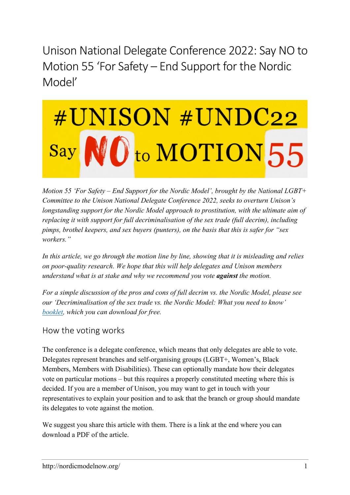Unison National Delegate Conference 2022: Say NO to Motion 55 'For Safety – End Support for the Nordic Model'

# #UNISON #UNDC22 NO<sub>to</sub> MOTION 55 Say

*Motion 55 'For Safety – End Support for the Nordic Model', brought by the National LGBT+ Committee to the Unison National Delegate Conference 2022, seeks to overturn Unison's longstanding support for the Nordic Model approach to prostitution, with the ultimate aim of replacing it with support for full decriminalisation of the sex trade (full decrim), including pimps, brothel keepers, and sex buyers (punters), on the basis that this is safer for "sex workers."*

*In this article, we go through the motion line by line, showing that it is misleading and relies on poor-quality research. We hope that this will help delegates and Unison members understand what is at stake and why we recommend you vote against the motion.*

*For a simple discussion of the pros and cons of full decrim vs. the Nordic Model, please see our 'Decriminalisation of the sex trade vs. the Nordic Model: What you need to know' [booklet,](https://nordicmodelnow.org/2022/04/05/decriminalisation-of-the-sex-trade-vs-the-nordic-model-what-you-need-to-know-booklet/) which you can download for free.*

# How the voting works

The conference is a delegate conference, which means that only delegates are able to vote. Delegates represent branches and self-organising groups (LGBT+, Women's, Black Members, Members with Disabilities). These can optionally mandate how their delegates vote on particular motions – but this requires a properly constituted meeting where this is decided. If you are a member of Unison, you may want to get in touch with your representatives to explain your position and to ask that the branch or group should mandate its delegates to vote against the motion.

We suggest you share this article with them. There is a link at the end where you can download a PDF of the article.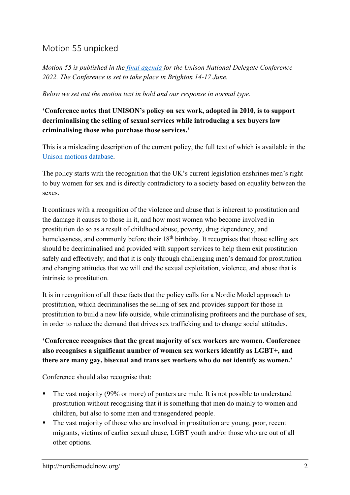# Motion 55 unpicked

*Motion 55 is published in the final [agenda](https://www.unison.org.uk/content/uploads/2022/05/2022-National-Delegate-Conference-Final-Agenda.pdf) for the Unison National Delegate Conference 2022. The Conference is set to take place in Brighton 14-17 June.*

*Below we set out the motion text in bold and our response in normal type.*

## **'Conference notes that UNISON's policy on sex work, adopted in 2010, is to support decriminalising the selling of sexual services while introducing a sex buyers law criminalising those who purchase those services.'**

This is a misleading description of the current policy, the full text of which is available in the Unison motions [database.](http://www.unison.org.uk/motions/2010/national-delegate-conference/demand-change/)

The policy starts with the recognition that the UK's current legislation enshrines men's right to buy women for sex and is directly contradictory to a society based on equality between the sexes.

It continues with a recognition of the violence and abuse that is inherent to prostitution and the damage it causes to those in it, and how most women who become involved in prostitution do so as a result of childhood abuse, poverty, drug dependency, and homelessness, and commonly before their  $18<sup>th</sup>$  birthday. It recognises that those selling sex should be decriminalised and provided with support services to help them exit prostitution safely and effectively; and that it is only through challenging men's demand for prostitution and changing attitudes that we will end the sexual exploitation, violence, and abuse that is intrinsic to prostitution.

It is in recognition of all these facts that the policy calls for a Nordic Model approach to prostitution, which decriminalises the selling of sex and provides support for those in prostitution to build a new life outside, while criminalising profiteers and the purchase of sex, in order to reduce the demand that drives sex trafficking and to change social attitudes.

#### **'Conference recognises that the great majority of sex workers are women. Conference also recognises a significant number of women sex workers identify as LGBT+, and there are many gay, bisexual and trans sex workers who do not identify as women.'**

Conference should also recognise that:

- The vast majority (99% or more) of punters are male. It is not possible to understand prostitution without recognising that it is something that men do mainly to women and children, but also to some men and transgendered people.
- The vast majority of those who are involved in prostitution are young, poor, recent migrants, victims of earlier sexual abuse, LGBT youth and/or those who are out of all other options.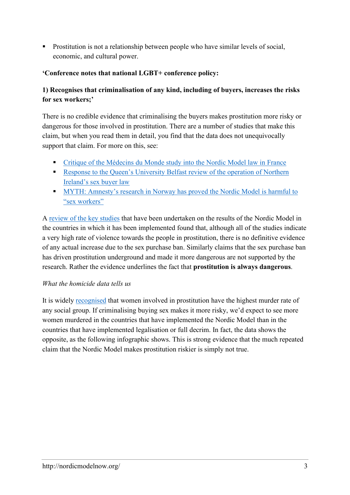**•** Prostitution is not a relationship between people who have similar levels of social, economic, and cultural power.

#### **'Conference notes that national LGBT+ conference policy:**

## **1) Recognises that criminalisation of any kind, including of buyers, increases the risks for sex workers;'**

There is no credible evidence that criminalising the buyers makes prostitution more risky or dangerous for those involved in prostitution. There are a number of studies that make this claim, but when you read them in detail, you find that the data does not unequivocally support that claim. For more on this, see:

- Critique of the [Médecins](https://nordicmodelnow.org/2021/01/02/critique-of-the-medecins-du-monde-study-into-the-nordic-model-law-in-france/) du Monde study into the Nordic Model law in France
- **Exercise 1** Response to the Queen's [University](https://nordicmodelnow.org/2019/11/21/response-to-the-queens-university-belfast-review-of-the-operation-of-northern-irelands-sex-buyer-law/) Belfast review of the operation of Northern [Ireland's](https://nordicmodelnow.org/2019/11/21/response-to-the-queens-university-belfast-review-of-the-operation-of-northern-irelands-sex-buyer-law/) sex buyer law
- **MYTH:** [Amnesty's](https://nordicmodelnow.org/myths-about-prostitution/myth-amnestys-research-in-norway-has-proved-the-nordic-model-is-harmful-to-sex-workers/) research in Norway has proved the Nordic Model is harmful to "sex [workers"](https://nordicmodelnow.org/myths-about-prostitution/myth-amnestys-research-in-norway-has-proved-the-nordic-model-is-harmful-to-sex-workers/)

A review of the key [studies](https://nordicmodelnow.org/2019/12/22/has-the-nordic-model-worked-what-does-the-research-say/) that have been undertaken on the results of the Nordic Model in the countries in which it has been implemented found that, although all of the studies indicate a very high rate of violence towards the people in prostitution, there is no definitive evidence of any actual increase due to the sex purchase ban. Similarly claims that the sex purchase ban has driven prostitution underground and made it more dangerous are not supported by the research. Rather the evidence underlines the fact that **prostitution is always dangerous**.

#### *What the homicide data tells us*

It is widely [recognised](https://researchonline.lshtm.ac.uk/id/eprint/4647626/1/Sex%20Work_GOLD%20VoR.pdf) that women involved in prostitution have the highest murder rate of any social group. If criminalising buying sex makes it more risky, we'd expect to see more women murdered in the countries that have implemented the Nordic Model than in the countries that have implemented legalisation or full decrim. In fact, the data shows the opposite, as the following infographic shows. This is strong evidence that the much repeated claim that the Nordic Model makes prostitution riskier is simply not true.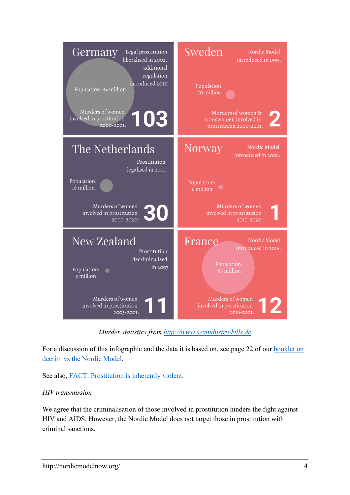

*Murder statistics from [http://www.sexindustry-kills.de](http://www.sexindustry-kills.de/)*

For a discussion of this infographic and the data it is based on, see page 22 of our [booklet](https://nordicmodelnow.org/2022/04/05/decriminalisation-of-the-sex-trade-vs-the-nordic-model-what-you-need-to-know-booklet/) on decrim vs the Nordic [Model.](https://nordicmodelnow.org/2022/04/05/decriminalisation-of-the-sex-trade-vs-the-nordic-model-what-you-need-to-know-booklet/)

See also, FACT: [Prostitution](https://nordicmodelnow.org/facts-about-prostitution/fact-prostitution-is-inherently-violent/) is inherently violent.

#### *HIV transmission*

We agree that the criminalisation of those involved in prostitution hinders the fight against HIV and AIDS. However, the Nordic Model does not target those in prostitution with criminal sanctions.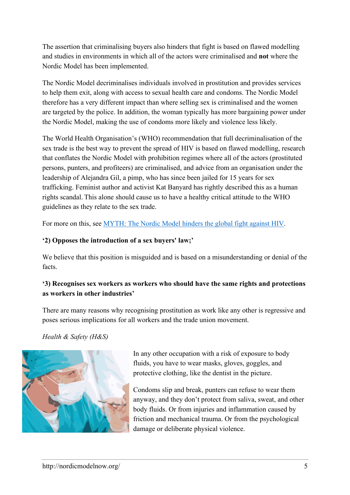The assertion that criminalising buyers also hinders that fight is based on flawed modelling and studies in environments in which all of the actors were criminalised and **not** where the Nordic Model has been implemented.

The Nordic Model decriminalises individuals involved in prostitution and provides services to help them exit, along with access to sexual health care and condoms. The Nordic Model therefore has a very different impact than where selling sex is criminalised and the women are targeted by the police. In addition, the woman typically has more bargaining power under the Nordic Model, making the use of condoms more likely and violence less likely.

The World Health Organisation's (WHO) recommendation that full decriminalisation of the sex trade is the best way to prevent the spread of HIV is based on flawed modelling, research that conflates the Nordic Model with prohibition regimes where all of the actors (prostituted persons, punters, and profiteers) are criminalised, and advice from an organisation under the leadership of Alejandra Gil, a pimp, who has since been jailed for 15 years for sex trafficking. Feminist author and activist Kat Banyard has rightly described this as a human rights scandal. This alone should cause us to have a healthy critical attitude to the WHO guidelines as they relate to the sex trade.

For more on this, see [MYTH:](http://nordicmodelnow.org/myths-about-prostitution/myth-the-nordic-model-hinders-the-global-fight-against-hiv/) The Nordic Model hinders the global fight against HIV.

## **'2) Opposes the introduction of a sex buyers' law;'**

We believe that this position is misguided and is based on a misunderstanding or denial of the facts.

## **'3) Recognises sex workers as workers who should have the same rights and protections as workers in other industries'**

There are many reasons why recognising prostitution as work like any other is regressive and poses serious implications for all workers and the trade union movement.

*Health & Safety (H&S)*



In any other occupation with a risk of exposure to body fluids, you have to wear masks, gloves, goggles, and protective clothing, like the dentist in the picture.

Condoms slip and break, punters can refuse to wear them anyway, and they don't protect from saliva, sweat, and other body fluids. Or from injuries and inflammation caused by friction and mechanical trauma. Or from the psychological damage or deliberate physical violence.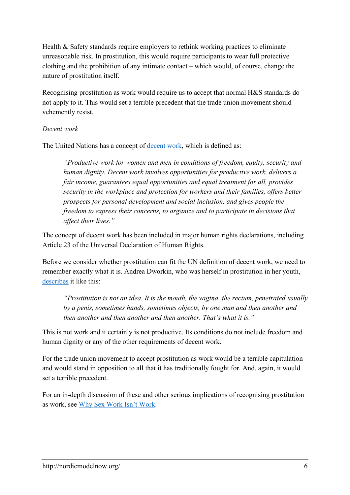Health & Safety standards require employers to rethink working practices to eliminate unreasonable risk. In prostitution, this would require participants to wear full protective clothing and the prohibition of any intimate contact – which would, of course, change the nature of prostitution itself.

Recognising prostitution as work would require us to accept that normal H&S standards do not apply to it. This would set a terrible precedent that the trade union movement should vehemently resist.

#### *Decent work*

The United Nations has a concept of [decent](http://hlp-wee.unwomen.org/-/media/hlp%20wee/attachments/reports-toolkits/hlp-wee-report-2016-09-call-to-action-en.pdf) work, which is defined as:

*"Productive work for women and men in conditions of freedom, equity, security and human dignity. Decent work involves opportunities for productive work, delivers a fair income, guarantees equal opportunities and equal treatment for all, provides security in the workplace and protection for workers and their families, offers better prospects for personal development and social inclusion, and gives people the freedom to express their concerns, to organize and to participate in decisions that affect their lives."*

The concept of decent work has been included in major human rights declarations, including Article 23 of the Universal Declaration of Human Rights.

Before we consider whether prostitution can fit the UN definition of decent work, we need to remember exactly what it is. Andrea Dworkin, who was herself in prostitution in her youth, [describes](http://www.nostatusquo.com/ACLU/dworkin/MichLawJourI.html) it like this:

*"Prostitution is not an idea. It is the mouth, the vagina, the rectum, penetrated usually by a penis, sometimes hands, sometimes objects, by one man and then another and then another and then another and then another. That's what it is."*

This is not work and it certainly is not productive. Its conditions do not include freedom and human dignity or any of the other requirements of decent work.

For the trade union movement to accept prostitution as work would be a terrible capitulation and would stand in opposition to all that it has traditionally fought for. And, again, it would set a terrible precedent.

For an in-depth discussion of these and other serious implications of recognising prostitution as work, see Why Sex Work Isn't [Work.](http://logosjournal.com/2014/watson/)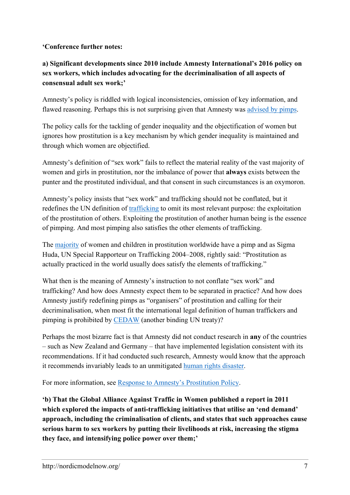#### **'Conference further notes:**

## **a) Significant developments since 2010 include Amnesty International's 2016 policy on sex workers, which includes advocating for the decriminalisation of all aspects of consensual adult sex work;'**

Amnesty's policy is riddled with logical inconsistencies, omission of key information, and flawed reasoning. Perhaps this is not surprising given that Amnesty was [advised](http://thefeministahood.wordpress.com/2015/08/24/what-amnesty-did-wrong/) by pimps.

The policy calls for the tackling of gender inequality and the objectification of women but ignores how prostitution is a key mechanism by which gender inequality is maintained and through which women are objectified.

Amnesty's definition of "sex work" fails to reflect the material reality of the vast majority of women and girls in prostitution, nor the imbalance of power that **always** exists between the punter and the prostituted individual, and that consent in such circumstances is an oxymoron.

Amnesty's policy insists that "sex work" and trafficking should not be conflated, but it redefines the UN definition of [trafficking](http://nordicmodelnow.org/facts-about-prostitution/fact-human-trafficking-means-trading-in-human-beings/) to omit its most relevant purpose: the exploitation of the prostitution of others. Exploiting the prostitution of another human being is the essence of pimping. And most pimping also satisfies the other elements of trafficking.

The [majority](http://www.rapeis.org/activism/prostitution/prostitutionfacts.html) of women and children in prostitution worldwide have a pimp and as Sigma Huda, UN Special Rapporteur on Trafficking 2004–2008, rightly said: "Prostitution as actually practiced in the world usually does satisfy the elements of trafficking."

What then is the meaning of Amnesty's instruction to not conflate "sex work" and trafficking? And how does Amnesty expect them to be separated in practice? And how does Amnesty justify redefining pimps as "organisers" of prostitution and calling for their decriminalisation, when most fit the international legal definition of human traffickers and pimping is prohibited by [CEDAW](http://nordicmodelnow.org/facts-about-prostitution/fact-cedaw-requires-countries-to-fight-pimping/) (another binding UN treaty)?

Perhaps the most bizarre fact is that Amnesty did not conduct research in **any** of the countries – such as New Zealand and Germany – that have implemented legislation consistent with its recommendations. If it had conducted such research, Amnesty would know that the approach it recommends invariably leads to an unmitigated human rights [disaster.](https://nordicmodelnow.org/2021/03/09/german-ex-police-officer-demolishes-common-arguments-against-the-nordic-model/)

For more information, see Response to Amnesty's [Prostitution](http://nordicmodelnow.org/2016/05/28/response-to-amnestys-prostitution-policy/) Policy.

**'b) That the Global Alliance Against Traffic in Women published a report in 2011 which explored the impacts of anti-trafficking initiatives that utilise an 'end demand' approach, including the criminalisation of clients, and states that such approaches cause serious harm to sex workers by putting their livelihoods at risk, increasing the stigma they face, and intensifying police power over them;'**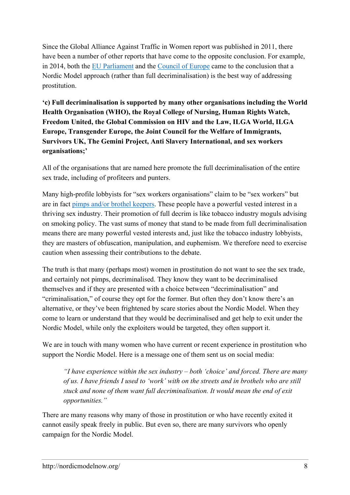Since the Global Alliance Against Traffic in Women report was published in 2011, there have been a number of other reports that have come to the opposite conclusion. For example, in 2014, both the EU [Parliament](http://www.europarl.europa.eu/doceo/document/A-7-2014-0071_EN.html) and the [Council](http://assembly.coe.int/nw/xml/XRef/Xref-XML2HTML-en.asp?fileid=20716) of Europe came to the conclusion that a Nordic Model approach (rather than full decriminalisation) is the best way of addressing prostitution.

**'c) Full decriminalisation is supported by many other organisations including the World Health Organisation (WHO), the Royal College of Nursing, Human Rights Watch, Freedom United, the Global Commission on HIV and the Law, ILGA World, ILGA Europe, Transgender Europe, the Joint Council for the Welfare of Immigrants, Survivors UK, The Gemini Project, Anti Slavery International, and sex workers organisations;'**

All of the organisations that are named here promote the full decriminalisation of the entire sex trade, including of profiteers and punters.

Many high-profile lobbyists for "sex workers organisations" claim to be "sex workers" but are in fact pimps and/or brothel [keepers.](http://logosjournal.com/2016/farley-2/) These people have a powerful vested interest in a thriving sex industry. Their promotion of full decrim is like tobacco industry moguls advising on smoking policy. The vast sums of money that stand to be made from full decriminalisation means there are many powerful vested interests and, just like the tobacco industry lobbyists, they are masters of obfuscation, manipulation, and euphemism. We therefore need to exercise caution when assessing their contributions to the debate.

The truth is that many (perhaps most) women in prostitution do not want to see the sex trade, and certainly not pimps, decriminalised. They know they want to be decriminalised themselves and if they are presented with a choice between "decriminalisation" and "criminalisation," of course they opt for the former. But often they don't know there's an alternative, or they've been frightened by scare stories about the Nordic Model. When they come to learn or understand that they would be decriminalised and get help to exit under the Nordic Model, while only the exploiters would be targeted, they often support it.

We are in touch with many women who have current or recent experience in prostitution who support the Nordic Model. Here is a message one of them sent us on social media:

*"I have experience within the sex industry – both 'choice' and forced. There are many of us. I have friends I used to 'work' with on the streets and in brothels who are still stuck and none of them want full decriminalisation. It would mean the end of exit opportunities."*

There are many reasons why many of those in prostitution or who have recently exited it cannot easily speak freely in public. But even so, there are many survivors who openly campaign for the Nordic Model.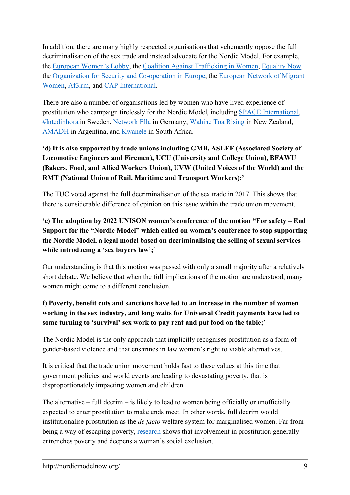In addition, there are many highly respected organisations that vehemently oppose the full decriminalisation of the sex trade and instead advocate for the Nordic Model. For example, the European [Women's](https://womenlobby.org/) Lobby, the Coalition Against [Trafficking](https://catwinternational.org/) in Women, [Equality](https://www.equalitynow.org/) Now, the Organization for Security and [Co-operation](https://www.osce.org/) in Europe, the [European](https://www.migrantwomennetwork.org/) Network of Migrant [Women,](https://www.migrantwomennetwork.org/) [Af3irm,](https://af3irm.org/af3irm/) and CAP [International.](http://www.cap-international.org/)

There are also a number of organisations led by women who have lived experience of prostitution who campaign tirelessly for the Nordic Model, including SPACE [International,](https://www.spaceintl.org/) [#Intedinhora](https://nordicmodelnow.org/2020/12/28/swedish-sex-trade-survivor-group-backs-international-campaign-for-the-nordic-model/) in Sweden, [Network](https://netzwerk-ella.de/index.php/en/) Ella in Germany, [Wahine](https://wahinetoarising.nz/) Toa Rising in New Zealand, [AMADH](https://mujeresporlosderechoshumanos.wordpress.com/) in Argentina, and [Kwanele](https://uncensoredopinion.co.za/prostitution-is-neither-sex-nor-work-it-is-exploitation/) in South Africa.

## **'d) It is also supported by trade unions including GMB, ASLEF (Associated Society of Locomotive Engineers and Firemen), UCU (University and College Union), BFAWU (Bakers, Food, and Allied Workers Union), UVW (United Voices of the World) and the RMT (National Union of Rail, Maritime and Transport Workers);'**

The TUC voted against the full decriminalisation of the sex trade in 2017. This shows that there is considerable difference of opinion on this issue within the trade union movement.

## **'e) The adoption by 2022 UNISON women's conference of the motion "For safety – End Support for the "Nordic Model" which called on women's conference to stop supporting the Nordic Model, a legal model based on decriminalising the selling of sexual services while introducing a 'sex buyers law';'**

Our understanding is that this motion was passed with only a small majority after a relatively short debate. We believe that when the full implications of the motion are understood, many women might come to a different conclusion.

## **f) Poverty, benefit cuts and sanctions have led to an increase in the number of women working in the sex industry, and long waits for Universal Credit payments have led to some turning to 'survival' sex work to pay rent and put food on the table;'**

The Nordic Model is the only approach that implicitly recognises prostitution as a form of gender-based violence and that enshrines in law women's right to viable alternatives.

It is critical that the trade union movement holds fast to these values at this time that government policies and world events are leading to devastating poverty, that is disproportionately impacting women and children.

The alternative – full decrim – is likely to lead to women being officially or unofficially expected to enter prostitution to make ends meet. In other words, full decrim would institutionalise prostitution as the *de facto* welfare system for marginalised women. Far from being a way of escaping poverty, [research](https://assets.publishing.service.gov.uk/government/uploads/system/uploads/attachment_data/file/303927/A_Review_of_the_Literature_on_sex_workers_and_social_exclusion.pdf) shows that involvement in prostitution generally entrenches poverty and deepens a woman's social exclusion.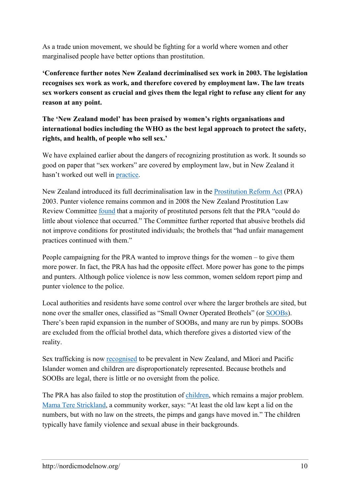As a trade union movement, we should be fighting for a world where women and other marginalised people have better options than prostitution.

**'Conference further notes New Zealand decriminalised sex work in 2003. The legislation recognises sex work as work, and therefore covered by employment law. The law treats sex workers consent as crucial and gives them the legal right to refuse any client for any reason at any point.**

## **The 'New Zealand model' has been praised by women's rights organisations and international bodies including the WHO as the best legal approach to protect the safety, rights, and health, of people who sell sex.'**

We have explained earlier about the dangers of recognizing prostitution as work. It sounds so good on paper that "sex workers" are covered by employment law, but in New Zealand it hasn't worked out well in [practice.](http://www.truthdig.com/articles/the-evidence-about-prostitution-that-the-new-york-times-ignored/page/2/)

New Zealand introduced its full decriminalisation law in the [Prostitution](http://www.legislation.govt.nz/act/public/2003/0028/latest/whole.html#DLM197815) Reform Act (PRA) 2003. Punter violence remains common and in 2008 the New Zealand Prostitution Law Review Committee [found](https://nordicmodelnow.org/wp-content/uploads/2021/01/report-of-the-nz-prostitution-law-committee-2008.pdf) that a majority of prostituted persons felt that the PRA "could do little about violence that occurred." The Committee further reported that abusive brothels did not improve conditions for prostituted individuals; the brothels that "had unfair management practices continued with them."

People campaigning for the PRA wanted to improve things for the women – to give them more power. In fact, the PRA has had the opposite effect. More power has gone to the pimps and punters. Although police violence is now less common, women seldom report pimp and punter violence to the police.

Local authorities and residents have some control over where the larger brothels are sited, but none over the smaller ones, classified as "Small Owner Operated Brothels" (or [SOOBs\)](http://www.catwa.org.au/?page_id=73). There's been rapid expansion in the number of SOOBs, and many are run by pimps. SOOBs are excluded from the official brothel data, which therefore gives a distorted view of the reality.

Sex trafficking is now [recognised](http://m.nzherald.co.nz/nz/news/article.cfm?c_id=1&objectid=11711211) to be prevalent in New Zealand, and Māori and Pacific Islander women and children are disproportionately represented. Because brothels and SOOBs are legal, there is little or no oversight from the police.

The PRA has also failed to stop the prostitution of [children,](http://auckland.scoop.co.nz/2013/04/under-age-prostitution-in-south-auckland-concerns-about-safety-intimidation) which remains a major problem. Mama Tere [Strickland,](http://www.stuff.co.nz/nelson-mail/news/235734/Teenage-hookers-slip-into-shadow) a community worker, says: "At least the old law kept a lid on the numbers, but with no law on the streets, the pimps and gangs have moved in." The children typically have family violence and sexual abuse in their backgrounds.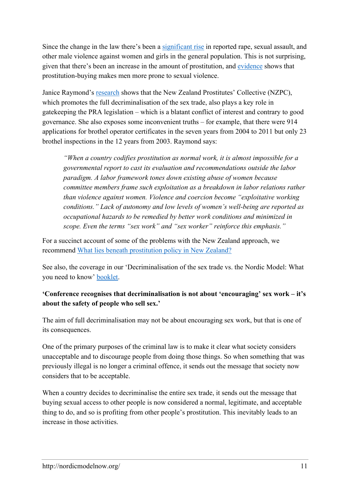Since the change in the law there's been a [significant](http://nordicmodelnow.org/2016/08/11/meme-about-new-zealand-since-the-full-decriminalisation-of-the-sex-trade/) rise in reported rape, sexual assault, and other male violence against women and girls in the general population. This is not surprising, given that there's been an increase in the amount of prostitution, and [evidence](http://prostitutionresearch.com/wp-content/uploads/2015/09/Comparing-Sex-Buyers-With-Men-Who-Do-Not-Buy-Sex.pdf) shows that prostitution-buying makes men more prone to sexual violence.

Janice Raymond's [research](http://digitalcommons.uri.edu/cgi/viewcontent.cgi?article=1116&context=dignity) shows that the New Zealand Prostitutes' Collective (NZPC), which promotes the full decriminalisation of the sex trade, also plays a key role in gatekeeping the PRA legislation – which is a blatant conflict of interest and contrary to good governance. She also exposes some inconvenient truths – for example, that there were 914 applications for brothel operator certificates in the seven years from 2004 to 2011 but only 23 brothel inspections in the 12 years from 2003. Raymond says:

*"When a country codifies prostitution as normal work, it is almost impossible for a governmental report to cast its evaluation and recommendations outside the labor paradigm. A labor framework tones down existing abuse of women because committee members frame such exploitation as a breakdown in labor relations rather than violence against women. Violence and coercion become "exploitative working conditions." Lack of autonomy and low levels of women's well-being are reported as occupational hazards to be remedied by better work conditions and minimized in scope. Even the terms "sex work" and "sex worker" reinforce this emphasis."*

For a succinct account of some of the problems with the New Zealand approach, we recommend What lies beneath [prostitution](http://www.opendemocracy.net/5050/maddy-coy-pala-molisa/what-lies-beneath-prostitution-and-policy-in-new-zealand) policy in New Zealand?

See also, the coverage in our 'Decriminalisation of the sex trade vs. the Nordic Model: What you need to know' [booklet.](https://nordicmodelnow.org/2022/04/05/decriminalisation-of-the-sex-trade-vs-the-nordic-model-what-you-need-to-know-booklet/)

## **'Conference recognises that decriminalisation is not about 'encouraging' sex work – it's about the safety of people who sell sex.'**

The aim of full decriminalisation may not be about encouraging sex work, but that is one of its consequences.

One of the primary purposes of the criminal law is to make it clear what society considers unacceptable and to discourage people from doing those things. So when something that was previously illegal is no longer a criminal offence, it sends out the message that society now considers that to be acceptable.

When a country decides to decriminalise the entire sex trade, it sends out the message that buying sexual access to other people is now considered a normal, legitimate, and acceptable thing to do, and so is profiting from other people's prostitution. This inevitably leads to an increase in those activities.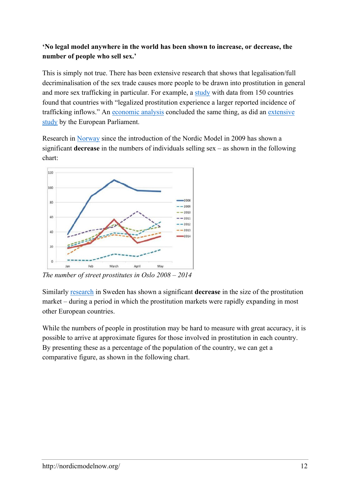## **'No legal model anywhere in the world has been shown to increase, or decrease, the number of people who sell sex.'**

This is simply not true. There has been extensive research that shows that legalisation/full decriminalisation of the sex trade causes more people to be drawn into prostitution in general and more sex trafficking in particular. For example, a [study](http://eprints.lse.ac.uk/45198/1/Neumayer_Legalized_Prostitution_Increase_2012.pdf) with data from 150 countries found that countries with "legalized prostitution experience a larger reported incidence of trafficking inflows." An [economic](https://www.forbes.com/sites/realspin/2016/10/17/why-legalizing-prostitution-may-not-work/#246fdc536678) analysis concluded the same thing, as did an [extensive](http://www.europarl.europa.eu/RegData/etudes/etudes/join/2005/360488/IPOL-JOIN_ET(2005)360488_EN.pdf) [study](http://www.europarl.europa.eu/RegData/etudes/etudes/join/2005/360488/IPOL-JOIN_ET(2005)360488_EN.pdf) by the European Parliament.

Research in [Norway](http://vista-analyse.no/site/assets/files/5962/eng1.pdf) since the introduction of the Nordic Model in 2009 has shown a significant **decrease** in the numbers of individuals selling sex – as shown in the following chart:



*The number of street prostitutes in Oslo 2008 – 2014*

Similarly [research](http://www.catwa.org.au/wp-content/uploads/2016/12/NMIN_briefing_on_Sweden_July_16.pdf) in Sweden has shown a significant **decrease** in the size of the prostitution market – during a period in which the prostitution markets were rapidly expanding in most other European countries.

While the numbers of people in prostitution may be hard to measure with great accuracy, it is possible to arrive at approximate figures for those involved in prostitution in each country. By presenting these as a percentage of the population of the country, we can get a comparative figure, as shown in the following chart.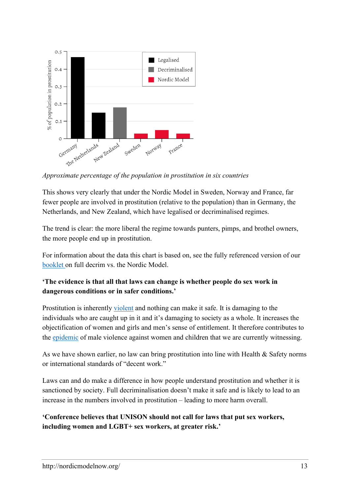

*Approximate percentage of the population in prostitution in six countries*

This shows very clearly that under the Nordic Model in Sweden, Norway and France, far fewer people are involved in prostitution (relative to the population) than in Germany, the Netherlands, and New Zealand, which have legalised or decriminalised regimes.

The trend is clear: the more liberal the regime towards punters, pimps, and brothel owners, the more people end up in prostitution.

For information about the data this chart is based on, see the fully referenced version of our [booklet](https://nordicmodelnow.org/2022/04/05/decriminalisation-of-the-sex-trade-vs-the-nordic-model-what-you-need-to-know-booklet/) on full decrim vs. the Nordic Model.

#### **'The evidence is that all that laws can change is whether people do sex work in dangerous conditions or in safer conditions.'**

Prostitution is inherently [violent](http://nordicmodelnow.org/facts-about-prostitution/fact-prostitution-is-inherently-violent/) and nothing can make it safe. It is damaging to the individuals who are caught up in it and it's damaging to society as a whole. It increases the objectification of women and girls and men's sense of entitlement. It therefore contributes to the [epidemic](https://www.justiceinspectorates.gov.uk/hmicfrs/news/news-feed/radical-action-needed-to-tackle-crime-epidemic-against-women-and-girls/) of male violence against women and children that we are currently witnessing.

As we have shown earlier, no law can bring prostitution into line with Health & Safety norms or international standards of "decent work."

Laws can and do make a difference in how people understand prostitution and whether it is sanctioned by society. Full decriminalisation doesn't make it safe and is likely to lead to an increase in the numbers involved in prostitution – leading to more harm overall.

**'Conference believes that UNISON should not call for laws that put sex workers, including women and LGBT+ sex workers, at greater risk.'**